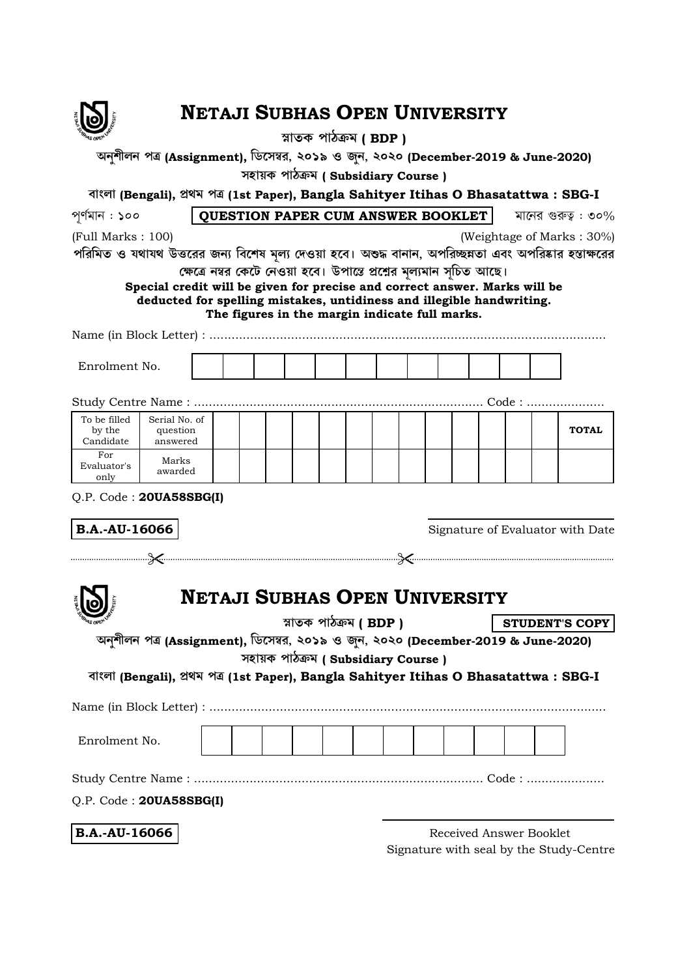

# **NETAJI SUBHAS OPEN UNIVERSITY**

স্নাতক পাঠক্ৰম ( BDP )

অনুশীলন পত্ৰ (Assignment), ডিসেম্বর, ২০১৯ ও জুন, ২০২০ (December-2019 & June-2020)

,<br>সহায়ক পাঠক্ৰম ( Subsidiary Course )

বাংলা (Bengali), প্ৰথম পত্ৰ (1st Paper), Bangla Sahityer Itihas O Bhasatattwa: SBG-I

| পর্ণমান : ১০০                                                                                            |                                                                                                                                                     |                                                                      |  |                        |  |                                      | <b>QUESTION PAPER CUM ANSWER BOOKLET</b>       |  | মানের গুরুত্ব : ৩০%              |
|----------------------------------------------------------------------------------------------------------|-----------------------------------------------------------------------------------------------------------------------------------------------------|----------------------------------------------------------------------|--|------------------------|--|--------------------------------------|------------------------------------------------|--|----------------------------------|
| (Full Marks: 100)                                                                                        |                                                                                                                                                     |                                                                      |  |                        |  |                                      |                                                |  | (Weightage of Marks: 30%)        |
| পরিমিত ও যথাযথ উত্তরের জন্য বিশেষ মূল্য দেওয়া হবে। অশুদ্ধ বানান, অপরিচ্ছন্নতা এবং অপরিষ্কার হস্তাক্ষরের |                                                                                                                                                     |                                                                      |  |                        |  |                                      |                                                |  |                                  |
|                                                                                                          |                                                                                                                                                     | ক্ষেত্রে নম্বর কেটে নেওয়া হবে। উপান্তে প্রশ্নের মূল্যমান সূচিত আছে। |  |                        |  |                                      |                                                |  |                                  |
|                                                                                                          | Special credit will be given for precise and correct answer. Marks will be<br>deducted for spelling mistakes, untidiness and illegible handwriting. |                                                                      |  |                        |  |                                      |                                                |  |                                  |
|                                                                                                          |                                                                                                                                                     |                                                                      |  |                        |  |                                      | The figures in the margin indicate full marks. |  |                                  |
|                                                                                                          |                                                                                                                                                     |                                                                      |  |                        |  |                                      |                                                |  |                                  |
| Enrolment No.                                                                                            |                                                                                                                                                     |                                                                      |  |                        |  |                                      |                                                |  |                                  |
|                                                                                                          |                                                                                                                                                     |                                                                      |  |                        |  |                                      |                                                |  |                                  |
| To be filled                                                                                             | Serial No. of                                                                                                                                       |                                                                      |  |                        |  |                                      |                                                |  |                                  |
| by the<br>Candidate                                                                                      | question<br>answered                                                                                                                                |                                                                      |  |                        |  |                                      |                                                |  | <b>TOTAL</b>                     |
| For<br>Evaluator's<br>only                                                                               | Marks<br>awarded                                                                                                                                    |                                                                      |  |                        |  |                                      |                                                |  |                                  |
| Q.P. Code: 20UA58SBG(I)                                                                                  |                                                                                                                                                     |                                                                      |  |                        |  |                                      |                                                |  |                                  |
|                                                                                                          |                                                                                                                                                     |                                                                      |  |                        |  |                                      |                                                |  |                                  |
| <b>B.A.-AU-16066</b>                                                                                     |                                                                                                                                                     |                                                                      |  |                        |  |                                      |                                                |  | Signature of Evaluator with Date |
|                                                                                                          |                                                                                                                                                     |                                                                      |  |                        |  |                                      |                                                |  |                                  |
|                                                                                                          |                                                                                                                                                     |                                                                      |  |                        |  |                                      |                                                |  |                                  |
|                                                                                                          |                                                                                                                                                     | <b>NETAJI SUBHAS OPEN UNIVERSITY</b>                                 |  |                        |  |                                      |                                                |  |                                  |
|                                                                                                          |                                                                                                                                                     |                                                                      |  | স্নাতক পাঠক্ৰম ( BDP ) |  |                                      |                                                |  | <b>STUDENT'S COPY</b>            |
|                                                                                                          | অনুশীলন পত্ৰ (Assignment), ডিসেম্বর, ২০১৯ ও জুন, ২০২০ (December-2019 & June-2020)                                                                   |                                                                      |  |                        |  |                                      |                                                |  |                                  |
|                                                                                                          |                                                                                                                                                     |                                                                      |  |                        |  | সহায়ক পাঠক্ৰম ( Subsidiary Course ) |                                                |  |                                  |
|                                                                                                          | বাংলা (Bengali), প্ৰথম পত্ৰ (1st Paper), Bangla Sahityer Itihas O Bhasatattwa : SBG-I                                                               |                                                                      |  |                        |  |                                      |                                                |  |                                  |
|                                                                                                          |                                                                                                                                                     |                                                                      |  |                        |  |                                      |                                                |  |                                  |
|                                                                                                          |                                                                                                                                                     |                                                                      |  |                        |  |                                      |                                                |  |                                  |
| Enrolment No.                                                                                            |                                                                                                                                                     |                                                                      |  |                        |  |                                      |                                                |  |                                  |
|                                                                                                          |                                                                                                                                                     |                                                                      |  |                        |  |                                      |                                                |  |                                  |
| Q.P. Code: 20UA58SBG(I)                                                                                  |                                                                                                                                                     |                                                                      |  |                        |  |                                      |                                                |  |                                  |
| <b>B.A.-AU-16066</b>                                                                                     |                                                                                                                                                     |                                                                      |  |                        |  |                                      | <b>Received Answer Booklet</b>                 |  |                                  |

Signature with seal by the Study-Centre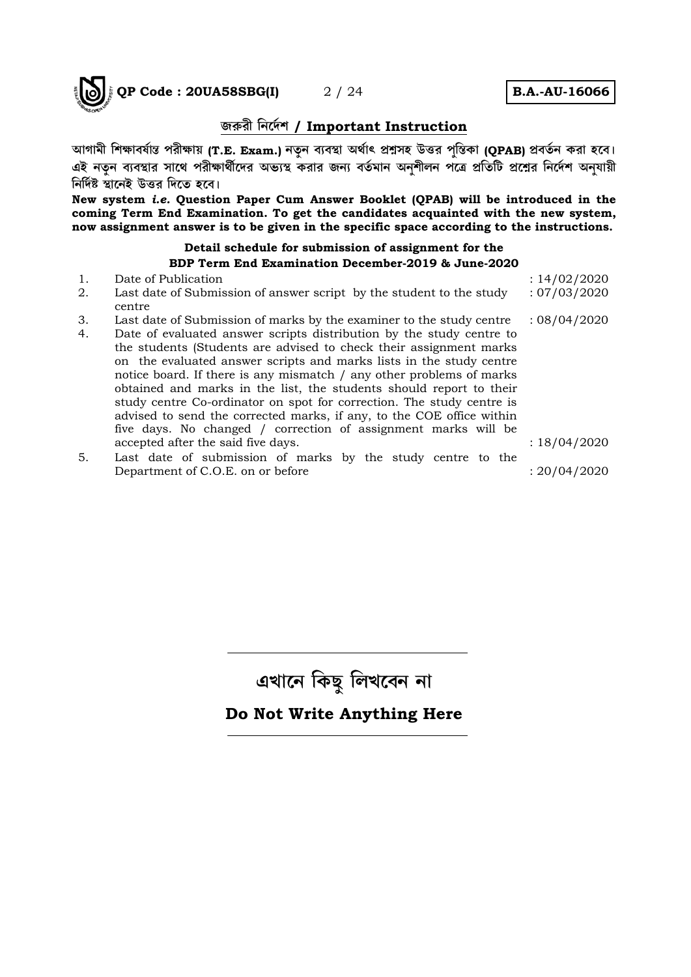

**QP Code : 20UA58SBG(I)** 2 / 24 **B.A.-AU-16066** 



## জরুরী নির্দেশ / Important Instruction

আগামী শিক্ষাবৰ্ষান্ত পরীক্ষায় (T.E. Exam.) নতুন ব্যবস্থা অর্থাৎ প্রশ্নসহ উত্তর পুস্তিকা (QPAB) প্রবর্তন করা হবে। এই নত্ন ব্যবস্থার সাথে পরীক্ষার্থীদের অভ্যস্থ করার জন্য বর্তমান অনুশীলন পত্রে প্রতিটি প্রশ্নের নির্দেশ অন্যায়ী  $\widehat{M}$ র্দিষ্ট শ্বানেই উত্তর দিতে হবে।

**New system** *i.e.* **Question Paper Cum Answer Booklet (QPAB) will be introduced in the coming Term End Examination. To get the candidates acquainted with the new system, now assignment answer is to be given in the specific space according to the instructions.** 

### **Detail schedule for submission of assignment for the**

#### **BDP Term End Examination December-2019 & June-2020**

1. Date of Publication : 14/02/2020 2. Last date of Submission of answer script by the student to the study centre : 07/03/2020 3. Last date of Submission of marks by the examiner to the study centre : 08/04/2020 4. Date of evaluated answer scripts distribution by the study centre to the students (Students are advised to check their assignment marks on the evaluated answer scripts and marks lists in the study centre notice board. If there is any mismatch / any other problems of marks obtained and marks in the list, the students should report to their study centre Co-ordinator on spot for correction. The study centre is advised to send the corrected marks, if any, to the COE office within five days. No changed / correction of assignment marks will be accepted after the said five days.  $\frac{18}{09}$  : 18/04/2020 5. Last date of submission of marks by the study centre to the Department of C.O.E. on or before  $\cdot$  20/04/2020

এখানে কিছু লিখবেন না

## **Do Not Write Anything Here**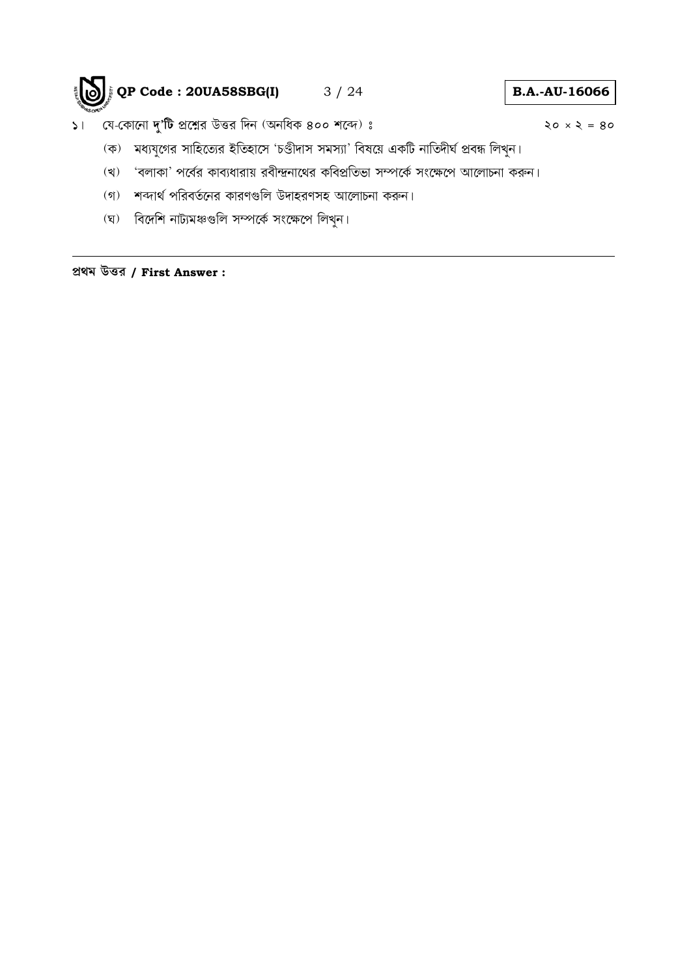

- ১। যে-কোনো দু'টি প্রশ্নের উত্তর দিন (অনধিক ৪০০ শব্দে) ঃ
	- (ক) মধ্যযুগের সাহিত্যের ইতিহাসে 'চণ্ডীদাস সমস্যা' বিষয়ে একটি নাতিদীর্ঘ প্রবন্ধ লিখুন।
	- (খ) 'বলাকা' পর্বের কাব্যধারায় রবীন্দ্রনাথের কবিপ্রতিভা সম্পর্কে সংক্ষেপে আলোচনা করুন।
	- (গ) শব্দার্থ পরিবর্তনের কারণগুলি উদাহরণসহ আলোচনা করুন।
	- (ঘ) বিদেশি নাট্যমঞ্চুজি সম্পর্কে সংক্ষেপে লিখুন।

প্ৰথম উত্তর / First Answer:

**B.A.-AU-16066**  $20 \times 2 = 80$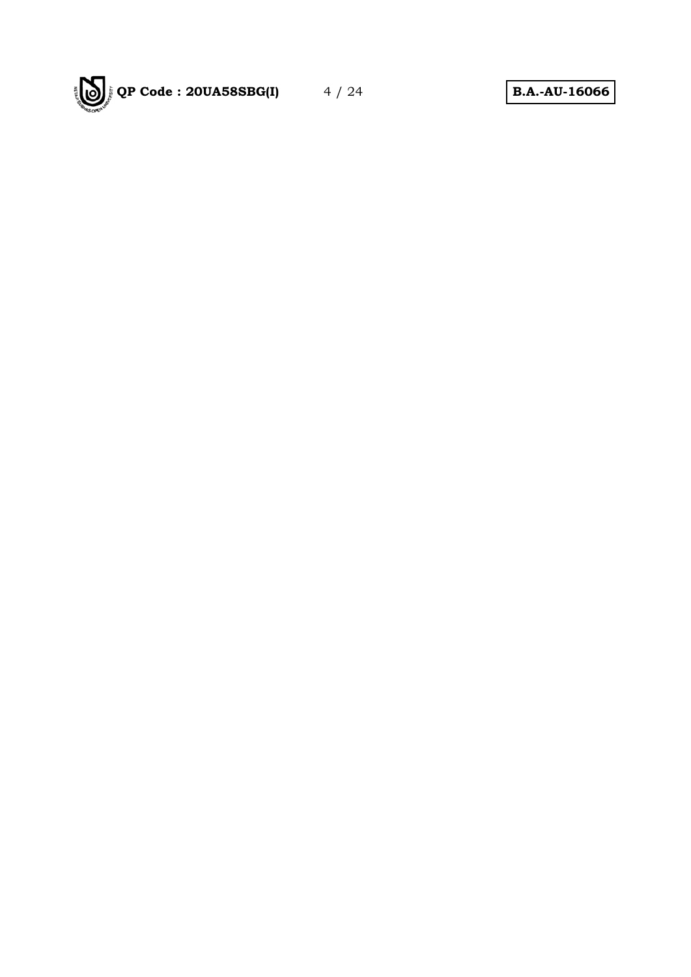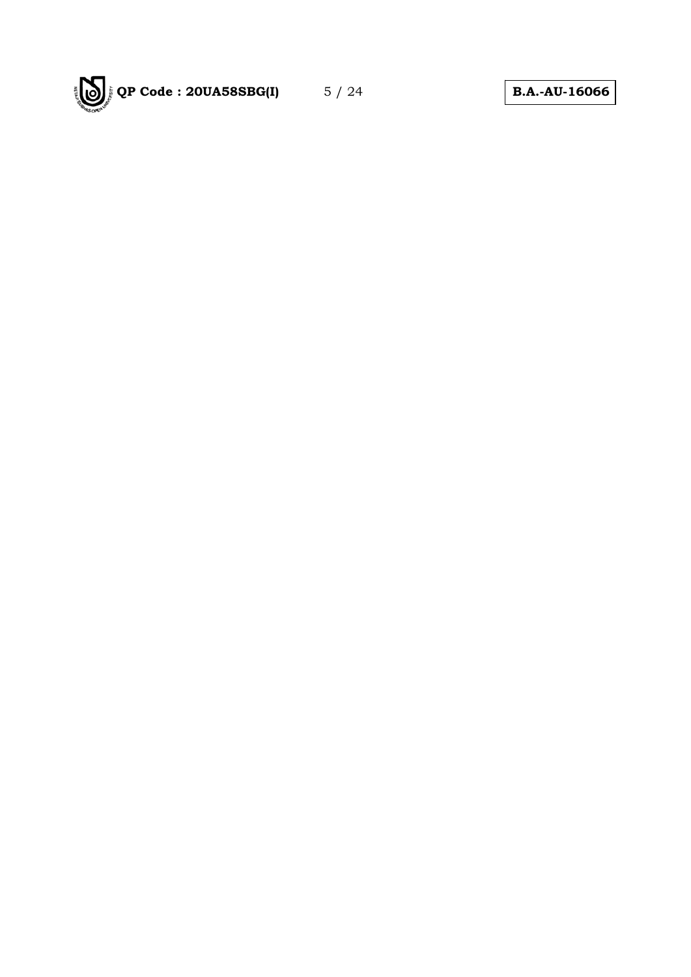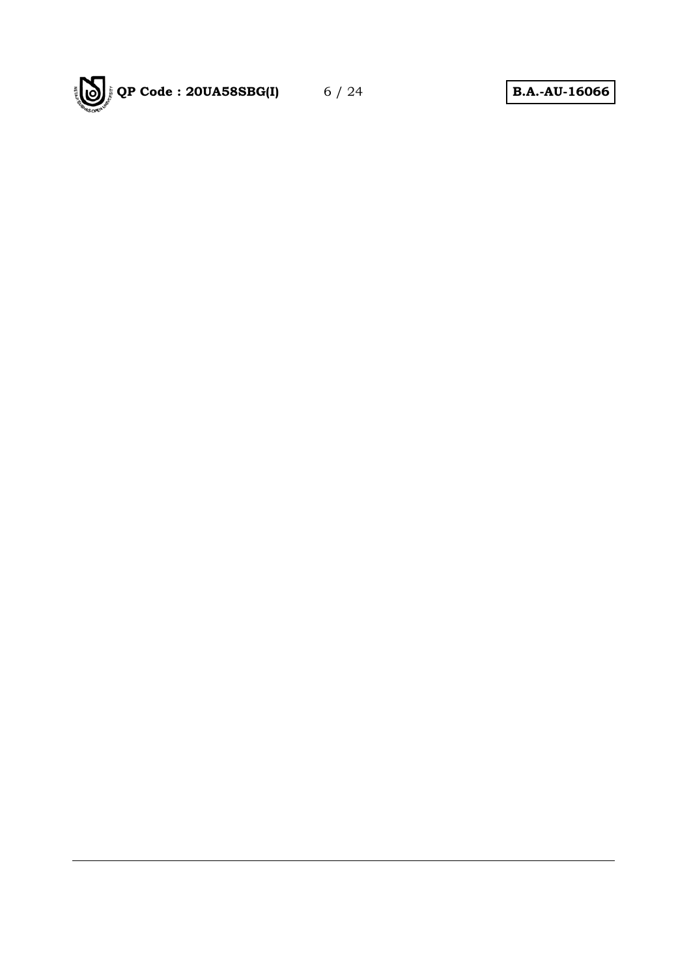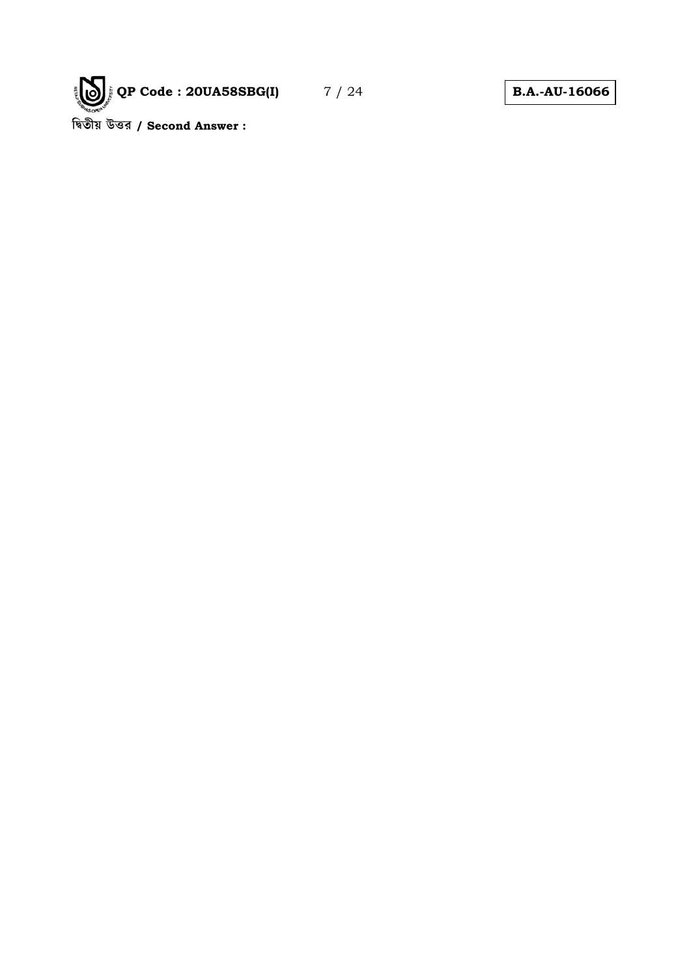

দ্বিতীয় উত্তর / Second Answer: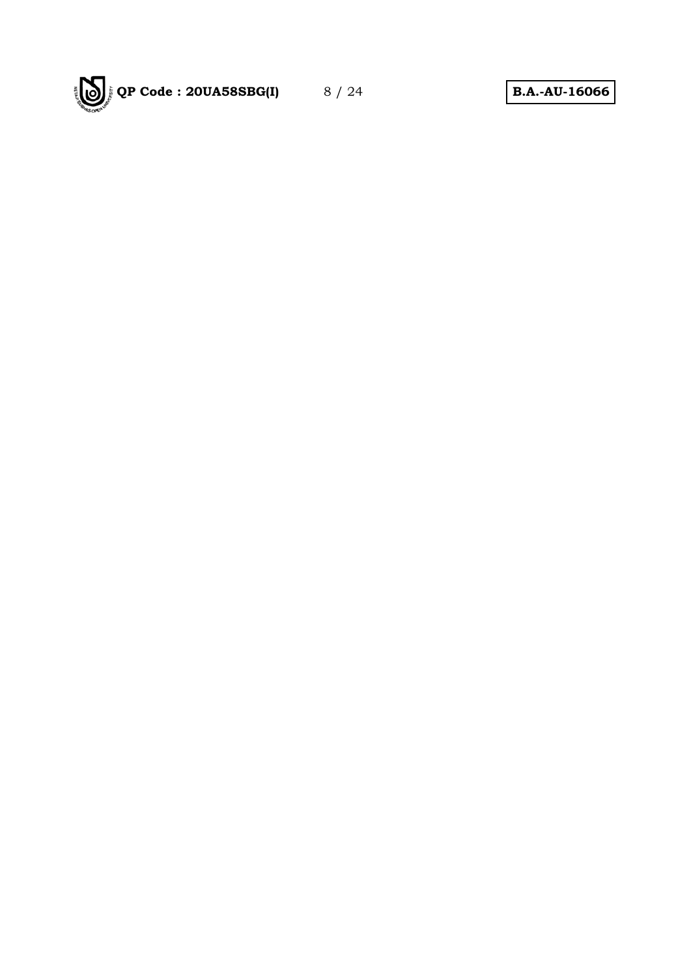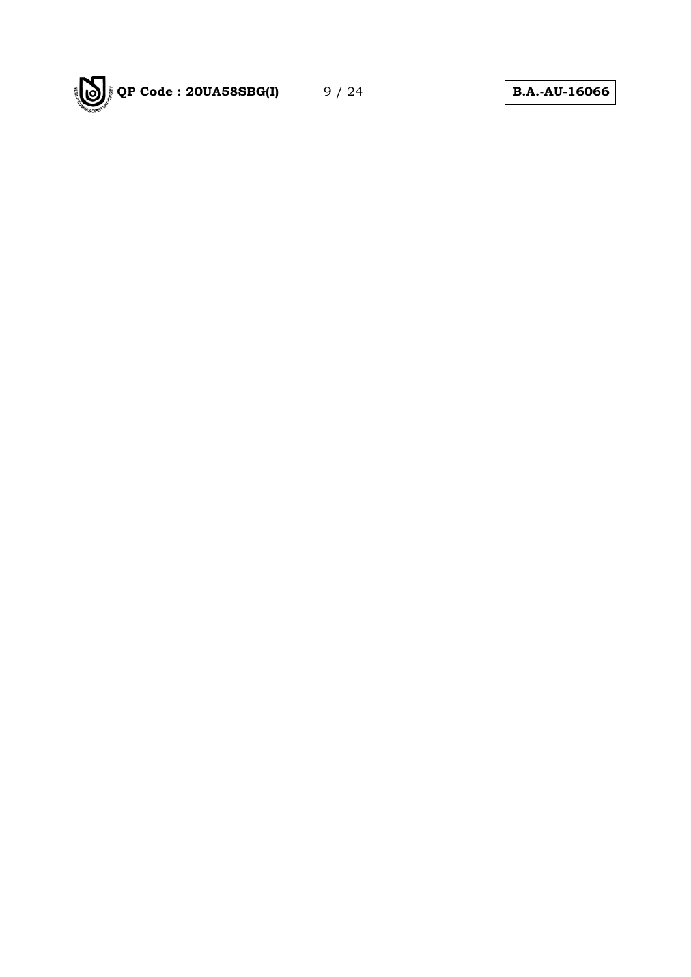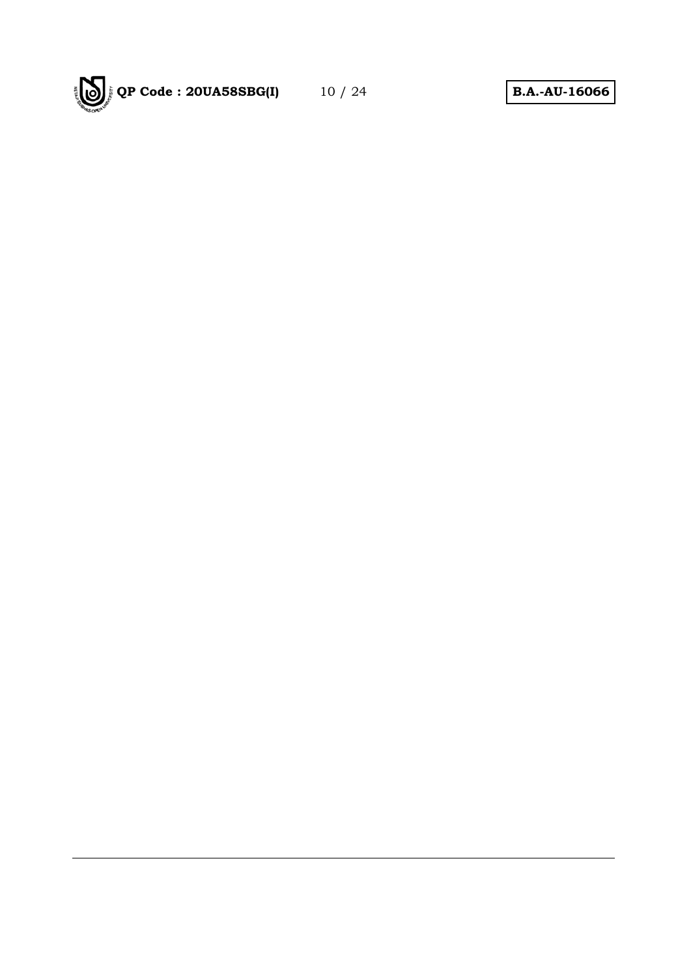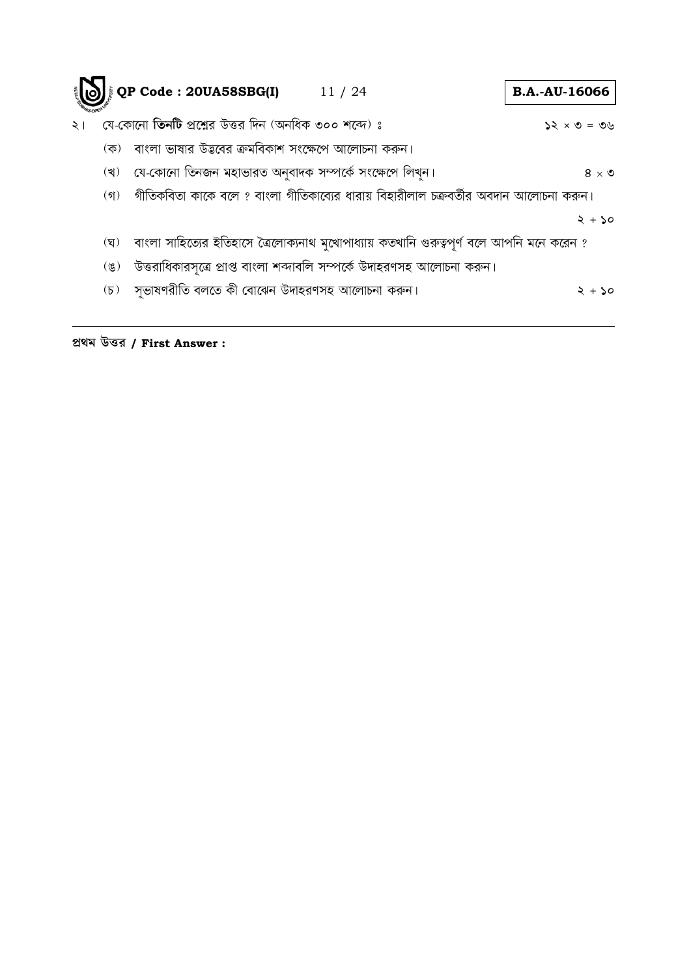|          |                  | $\frac{1}{2}$ QP Code : 20UA58SBG(I)<br>11/24                                             | <b>B.A.-AU-16066</b> |
|----------|------------------|-------------------------------------------------------------------------------------------|----------------------|
| $\geq 1$ |                  | যে-কোনো <b>তিনটি</b> প্রশ্নের উত্তর দিন (অনধিক ৩০০ শব্দে) ঃ                               | $52 \times 9 = 0.6$  |
|          | (ক)              | বাংলা ভাষার উদ্ভবের ক্রমবিকাশ সংক্ষেপে আলোচনা করুন।                                       |                      |
|          | (খ্)             | যে-কোনো তিনজন মহাভারত অনুবাদক সম্পর্কে সংক্ষেপে লিখুন।                                    | 8 $\times$ 0         |
|          | (5)              | গীতিকবিতা কাকে বলে ? বাংলা গীতিকাব্যের ধারায় বিহারীলাল চক্রবর্তীর অবদান আলোচনা করুন।     |                      |
|          |                  |                                                                                           | $2 + 50$             |
|          | $(\nabla)$       | বাংলা সাহিত্যের ইতিহাসে ত্রৈলোক্যনাথ মুখোপাধ্যায় কতখানি গুরুত্বপূর্ণ বলে আপনি মনে করেন ? |                      |
|          | $(\mathfrak{G})$ | উত্তরাধিকারসূত্রে প্রাপ্ত বাংলা শব্দাবলি সম্পর্কে উদাহরণসহ আলোচনা করুন।                   |                      |
|          |                  | (চ) সুভাষণরীতি বলতে কী বোঝেন উদাহরণসহ আলোচনা করুন।                                        | ২ + ১০               |
|          |                  |                                                                                           |                      |

প্ৰথম উত্তর / First Answer :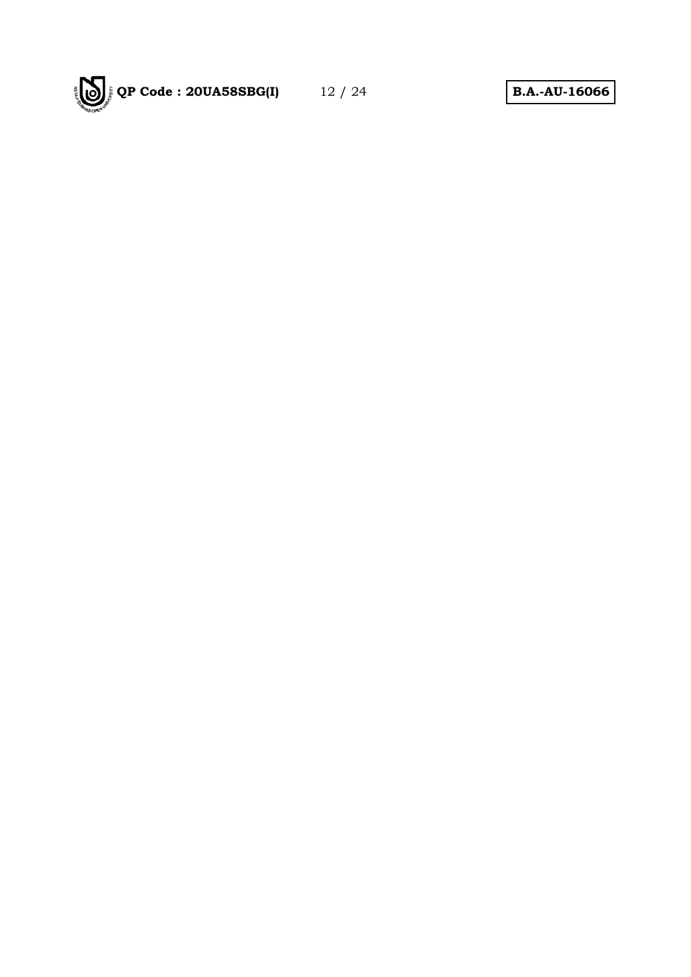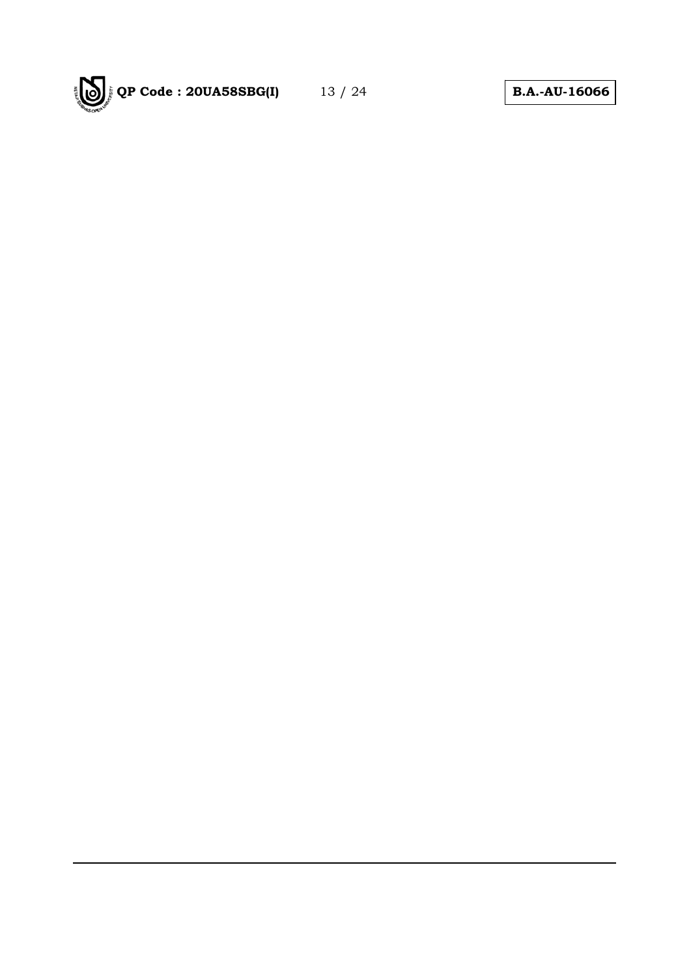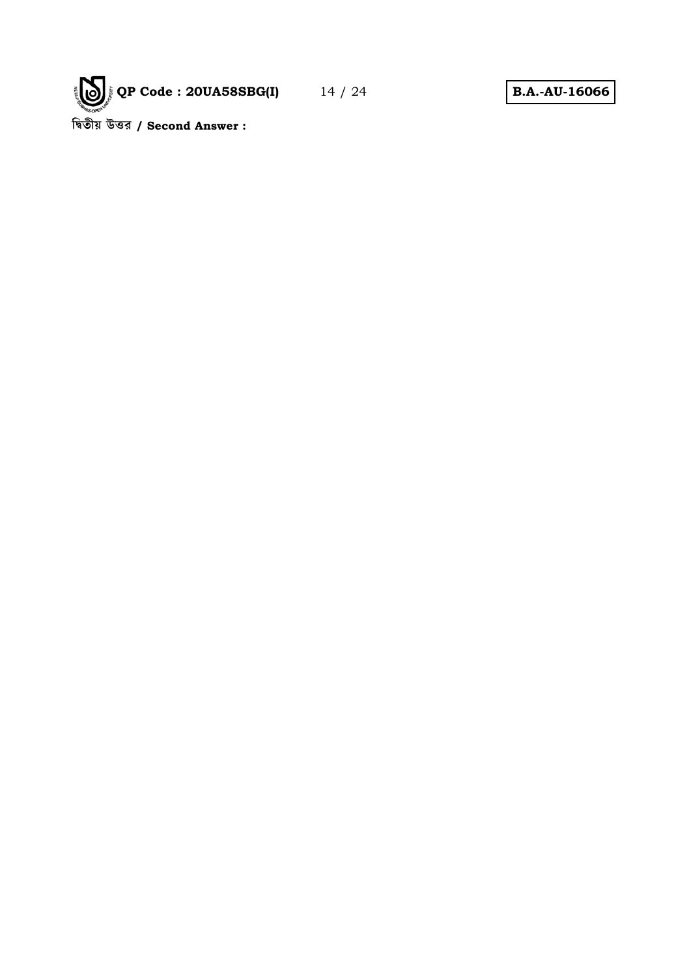

দ্বিতীয় উত্তর / Second Answer: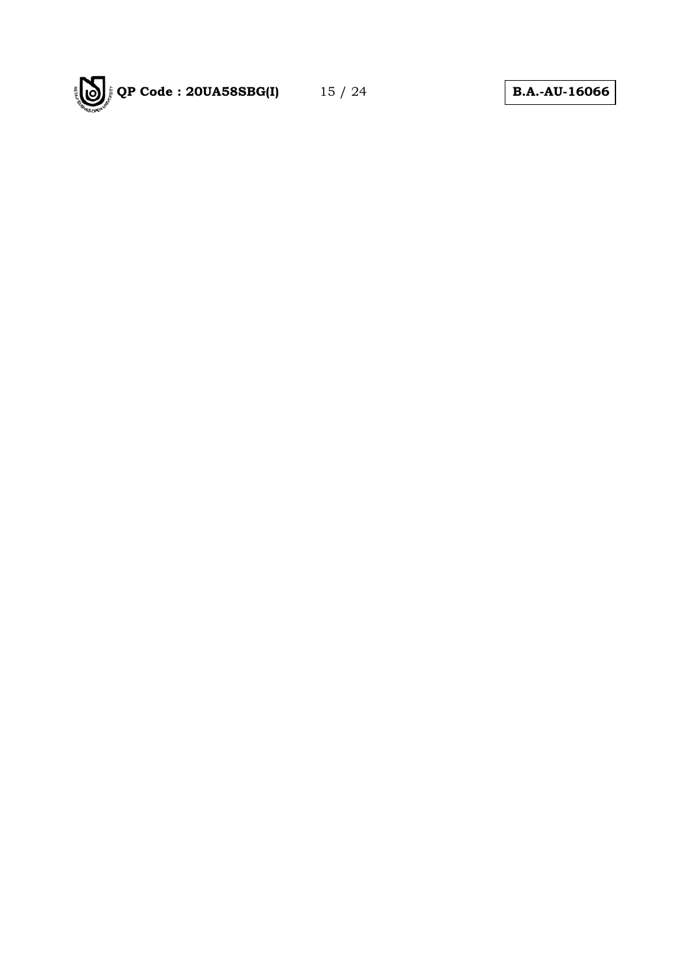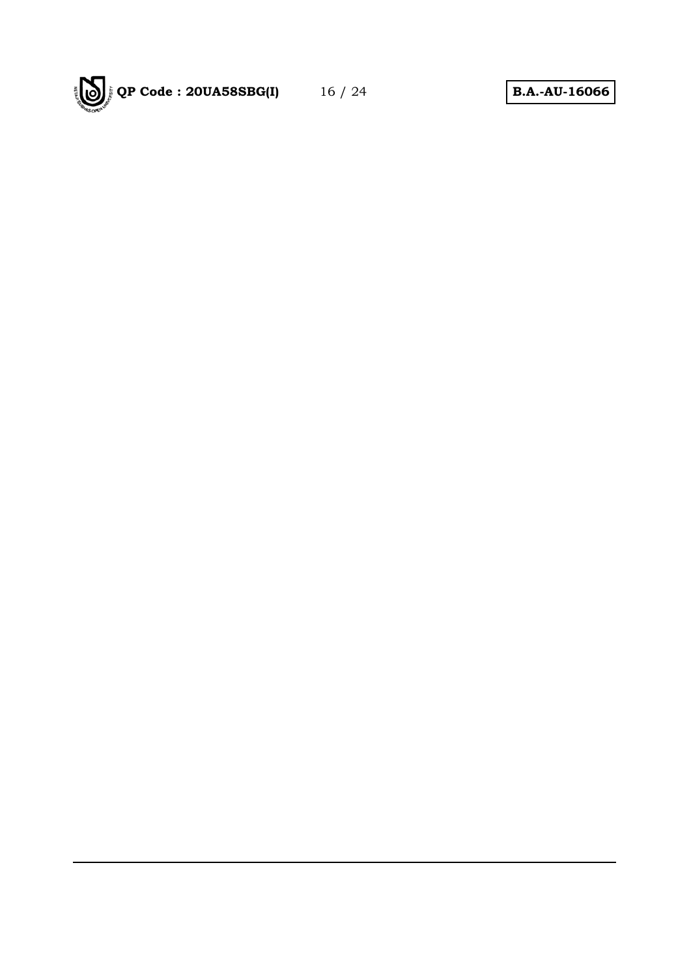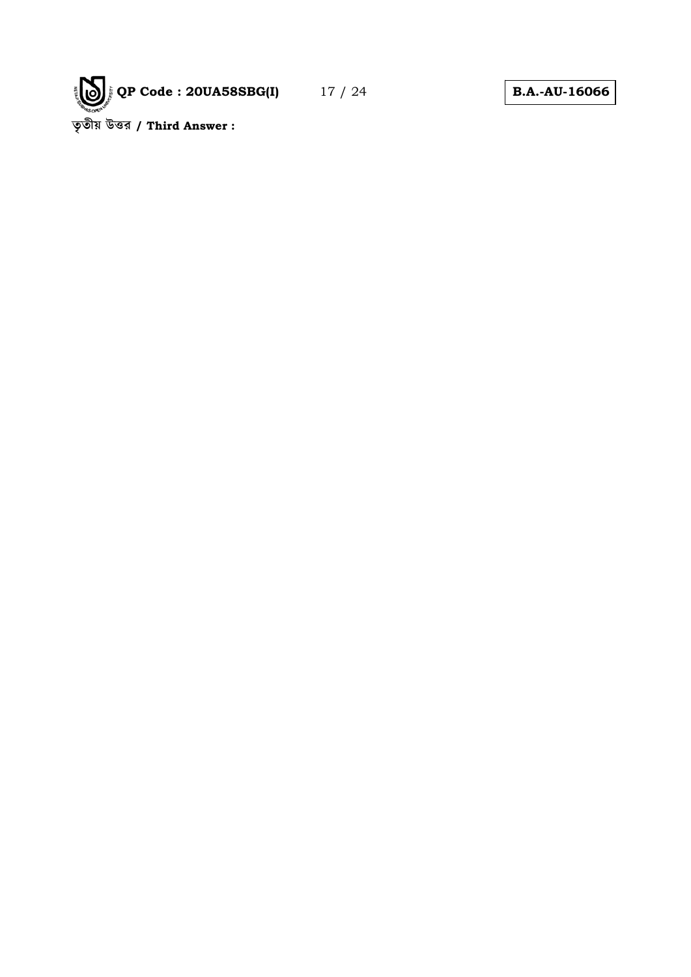

তৃতীয় উত্তর / Third Answer: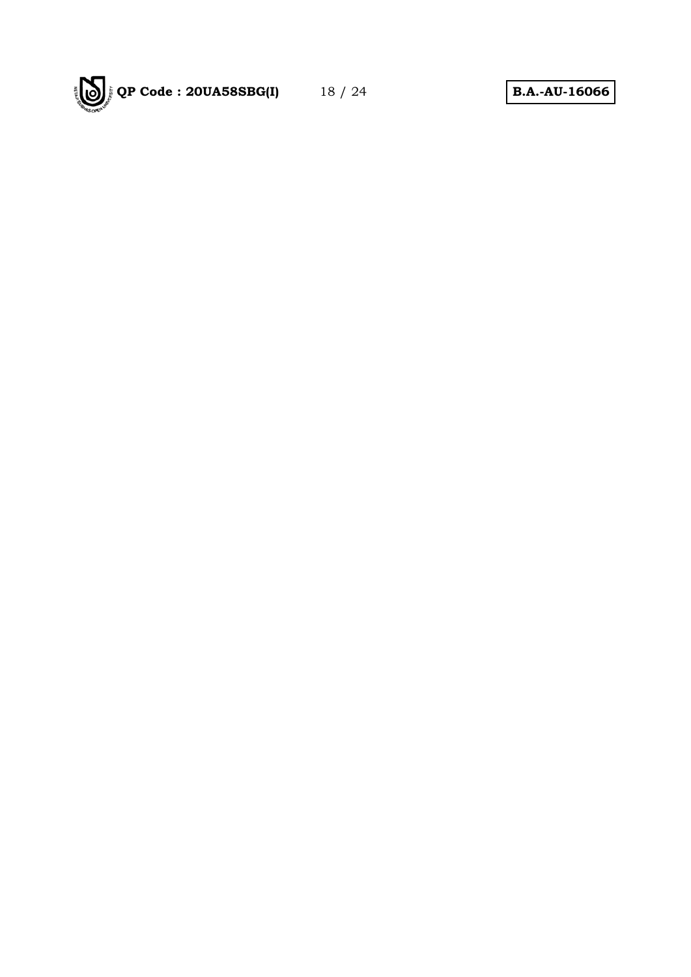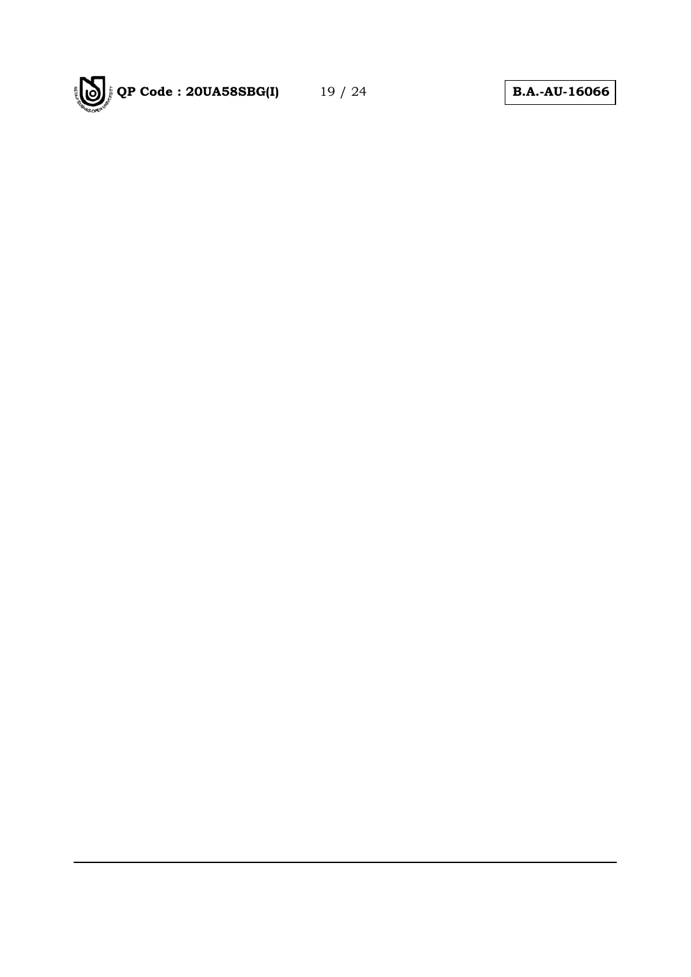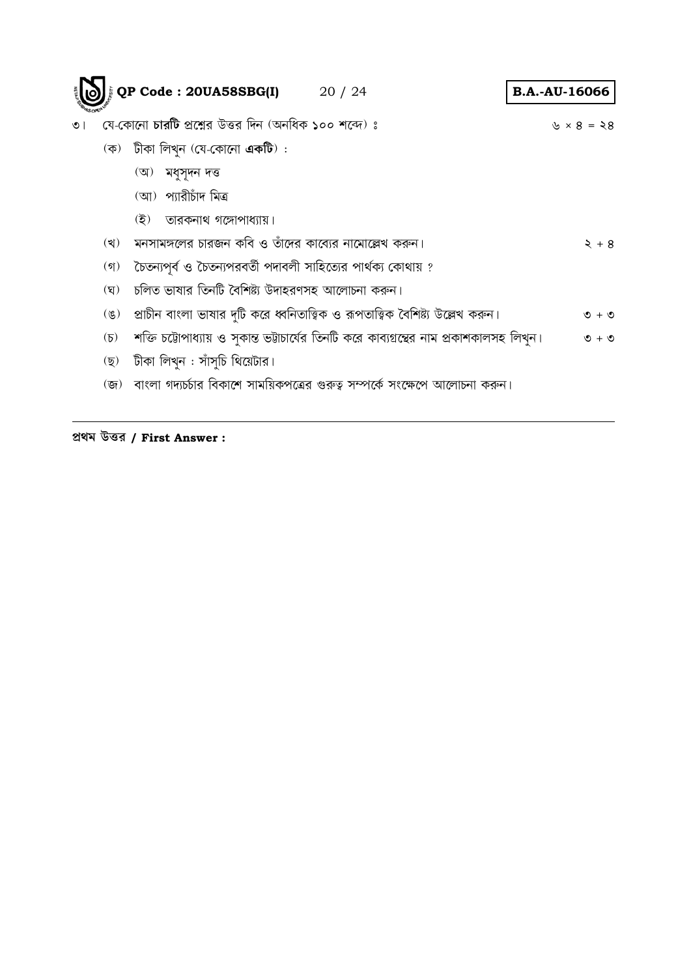|                |                              | QP Code: 20UA58SBG(I)<br>20/24                                                           | <b>B.A.-AU-16066</b>      |
|----------------|------------------------------|------------------------------------------------------------------------------------------|---------------------------|
| $\overline{O}$ |                              | যে-কোনো চারটি প্রশ্নের উত্তর দিন (অনধিক ১০০ শব্দে) ঃ                                     | ৬ × ৪ = ২৪                |
|                |                              | (ক) টীকা লিখন (যে-কোনো <b>একটি</b> ) :                                                   |                           |
|                |                              | (অ) মধুসুদন দত্ত                                                                         |                           |
|                |                              | (আ) প্যারীচাঁদ মিত্র                                                                     |                           |
|                |                              | (ই)<br>তারকনাথ গঙ্গোপাধ্যায়।                                                            |                           |
|                | (খ্)                         | মনসামঙ্গলের চারজন কবি ও তাঁদের কাব্যের নামোল্লেখ করুন।                                   | $2 + 8$                   |
|                | (3)                          | চৈতন্যপূর্ব ও চৈতন্যপরবর্তী পদাবলী সাহিত্যের পার্থক্য কোথায় ?                           |                           |
|                | $(\nabla)$                   | চলিত ভাষার তিনটি বৈশিষ্ট্য উদাহরণসহ আলোচনা করুন।                                         |                           |
|                | $\left( \mathfrak{G}\right)$ | প্রাচীন বাংলা ভাষার দুটি করে ধ্বনিতাত্ত্বিক ও রূপতাত্ত্বিক বৈশিষ্ট্য উল্লেখ করুন।        | $\mathcal{O}+\mathcal{O}$ |
|                | $(\mathsf{D})$               | শক্তি চট্টোপাধ্যায় ও সুকান্ত ভট্টাচার্যের তিনটি করে কাব্যগ্রন্থের নাম প্রকাশকালসহ লিখন। | $\mathcal{O}+\mathcal{O}$ |
|                | (ছ)                          | টীকা লিখুন : সাঁসুচি থিয়েটার।                                                           |                           |
|                | (জ)                          | বাংলা গদ্যচ্যার বিকাশে সাময়িকপত্রের গুরুত্ব সম্পর্কে সংক্ষেপে আলোচনা করুন।              |                           |
|                |                              |                                                                                          |                           |

<u>খ</u>থম উত্তর / First Answer :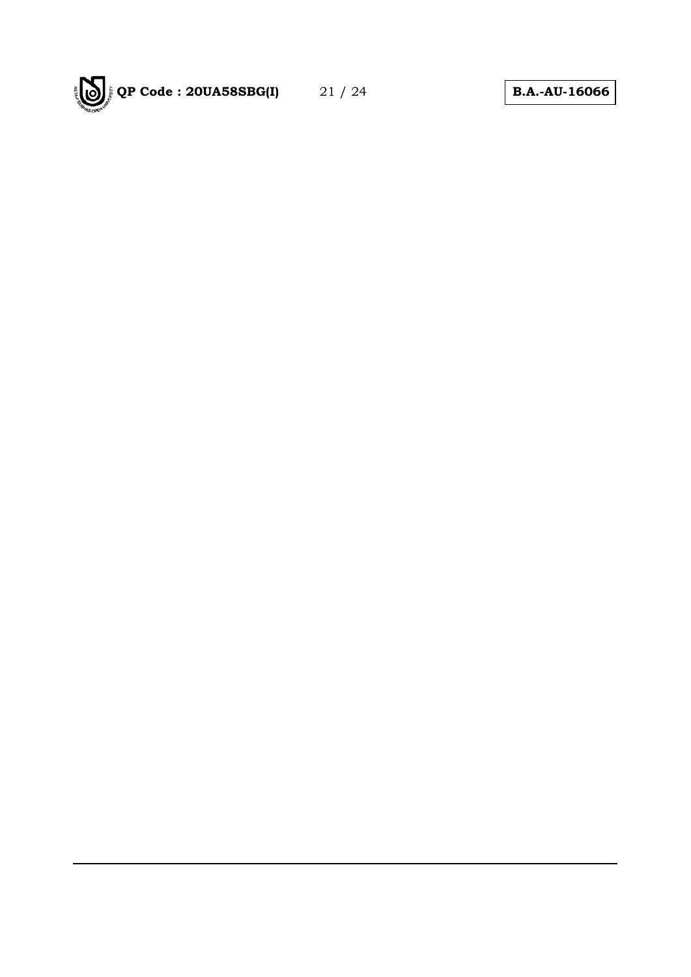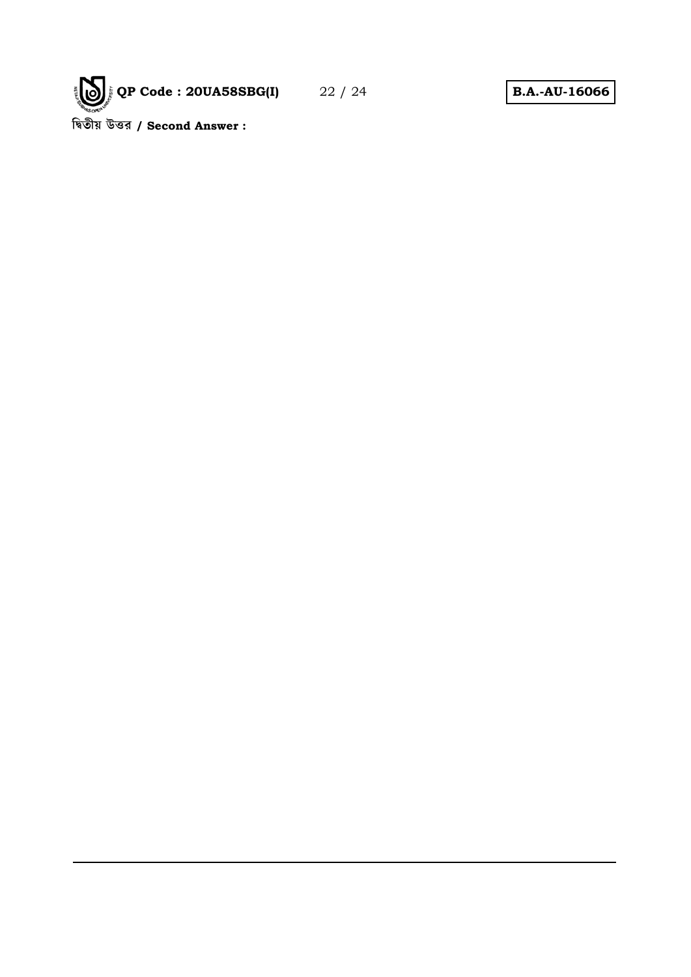

দ্বিতীয় উত্তর / Second Answer: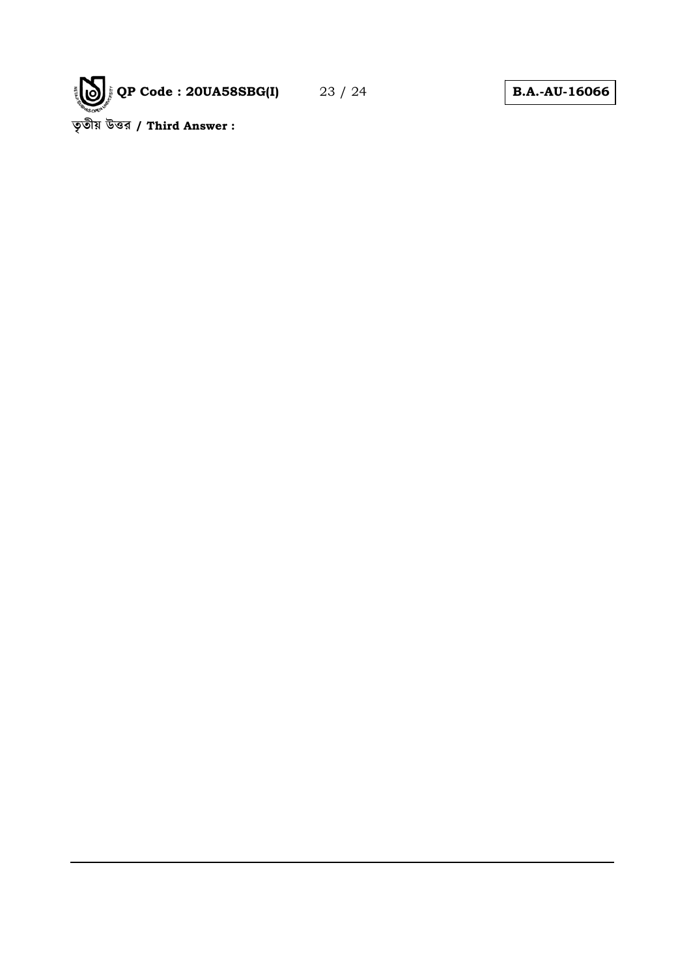

তৃতীয় উত্তর / Third Answer: